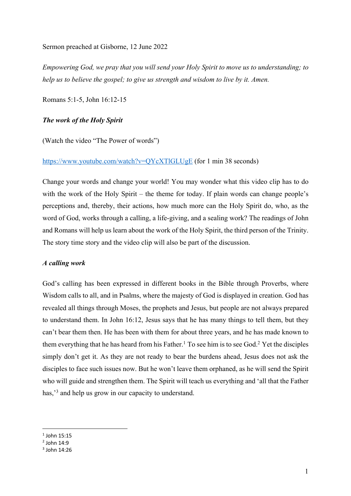Sermon preached at Gisborne, 12 June 2022

*Empowering God, we pray that you will send your Holy Spirit to move us to understanding; to help us to believe the gospel; to give us strength and wisdom to live by it. Amen.*

Romans 5:1-5, John 16:12-15

## *The work of the Holy Spirit*

(Watch the video "The Power of words")

## https://www.youtube.com/watch?v=QYcXTlGLUgE (for 1 min 38 seconds)

Change your words and change your world! You may wonder what this video clip has to do with the work of the Holy Spirit – the theme for today. If plain words can change people's perceptions and, thereby, their actions, how much more can the Holy Spirit do, who, as the word of God, works through a calling, a life-giving, and a sealing work? The readings of John and Romans will help us learn about the work of the Holy Spirit, the third person of the Trinity. The story time story and the video clip will also be part of the discussion.

#### *A calling work*

God's calling has been expressed in different books in the Bible through Proverbs, where Wisdom calls to all, and in Psalms, where the majesty of God is displayed in creation. God has revealed all things through Moses, the prophets and Jesus, but people are not always prepared to understand them. In John 16:12, Jesus says that he has many things to tell them, but they can't bear them then. He has been with them for about three years, and he has made known to them everything that he has heard from his Father.<sup>1</sup> To see him is to see God.<sup>2</sup> Yet the disciples simply don't get it. As they are not ready to bear the burdens ahead, Jesus does not ask the disciples to face such issues now. But he won't leave them orphaned, as he will send the Spirit who will guide and strengthen them. The Spirit will teach us everything and 'all that the Father has,<sup>3</sup> and help us grow in our capacity to understand.

 $1$  John 15:15

 $2$  John 14:9

 $3$  John  $14.26$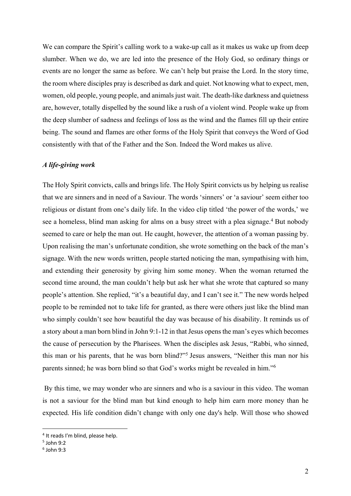We can compare the Spirit's calling work to a wake-up call as it makes us wake up from deep slumber. When we do, we are led into the presence of the Holy God, so ordinary things or events are no longer the same as before. We can't help but praise the Lord. In the story time, the room where disciples pray is described as dark and quiet. Not knowing what to expect, men, women, old people, young people, and animals just wait. The death-like darkness and quietness are, however, totally dispelled by the sound like a rush of a violent wind. People wake up from the deep slumber of sadness and feelings of loss as the wind and the flames fill up their entire being. The sound and flames are other forms of the Holy Spirit that conveys the Word of God consistently with that of the Father and the Son. Indeed the Word makes us alive.

# *A life-giving work*

The Holy Spirit convicts, calls and brings life. The Holy Spirit convicts us by helping us realise that we are sinners and in need of a Saviour. The words 'sinners' or 'a saviour' seem either too religious or distant from one's daily life. In the video clip titled 'the power of the words,' we see a homeless, blind man asking for alms on a busy street with a plea signage. <sup>4</sup> But nobody seemed to care or help the man out. He caught, however, the attention of a woman passing by. Upon realising the man's unfortunate condition, she wrote something on the back of the man's signage. With the new words written, people started noticing the man, sympathising with him, and extending their generosity by giving him some money. When the woman returned the second time around, the man couldn't help but ask her what she wrote that captured so many people's attention. She replied, "it's a beautiful day, and I can't see it." The new words helped people to be reminded not to take life for granted, as there were others just like the blind man who simply couldn't see how beautiful the day was because of his disability. It reminds us of a story about a man born blind in John 9:1-12 in that Jesus opens the man's eyes which becomes the cause of persecution by the Pharisees. When the disciples ask Jesus, "Rabbi, who sinned, this man or his parents, that he was born blind?"5 Jesus answers, "Neither this man nor his parents sinned; he was born blind so that God's works might be revealed in him."6

By this time, we may wonder who are sinners and who is a saviour in this video. The woman is not a saviour for the blind man but kind enough to help him earn more money than he expected. His life condition didn't change with only one day's help. Will those who showed

<sup>4</sup> It reads I'm blind, please help.

<sup>5</sup> John 9:2

 $6$  John 9:3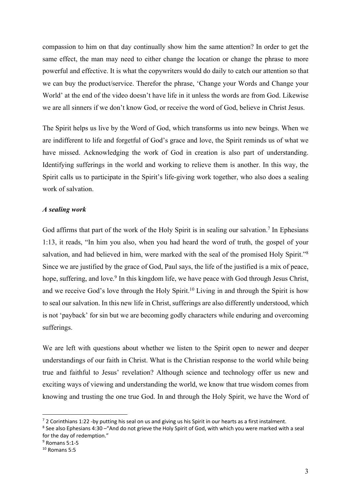compassion to him on that day continually show him the same attention? In order to get the same effect, the man may need to either change the location or change the phrase to more powerful and effective. It is what the copywriters would do daily to catch our attention so that we can buy the product/service. Therefor the phrase, 'Change your Words and Change your World' at the end of the video doesn't have life in it unless the words are from God. Likewise we are all sinners if we don't know God, or receive the word of God, believe in Christ Jesus.

The Spirit helps us live by the Word of God, which transforms us into new beings. When we are indifferent to life and forgetful of God's grace and love, the Spirit reminds us of what we have missed. Acknowledging the work of God in creation is also part of understanding. Identifying sufferings in the world and working to relieve them is another. In this way, the Spirit calls us to participate in the Spirit's life-giving work together, who also does a sealing work of salvation.

### *A sealing work*

God affirms that part of the work of the Holy Spirit is in sealing our salvation.<sup>7</sup> In Ephesians 1:13, it reads, "In him you also, when you had heard the word of truth, the gospel of your salvation, and had believed in him, were marked with the seal of the promised Holy Spirit."<sup>8</sup> Since we are justified by the grace of God, Paul says, the life of the justified is a mix of peace, hope, suffering, and love.<sup>9</sup> In this kingdom life, we have peace with God through Jesus Christ, and we receive God's love through the Holy Spirit.<sup>10</sup> Living in and through the Spirit is how to seal our salvation. In this new life in Christ, sufferings are also differently understood, which is not 'payback' for sin but we are becoming godly characters while enduring and overcoming sufferings.

We are left with questions about whether we listen to the Spirit open to newer and deeper understandings of our faith in Christ. What is the Christian response to the world while being true and faithful to Jesus' revelation? Although science and technology offer us new and exciting ways of viewing and understanding the world, we know that true wisdom comes from knowing and trusting the one true God. In and through the Holy Spirit, we have the Word of

 $72$  Corinthians 1:22 -by putting his seal on us and giving us his Spirit in our hearts as a first instalment.

<sup>8</sup> See also Ephesians 4:30 –"And do not grieve the Holy Spirit of God, with which you were marked with a seal for the day of redemption."

<sup>9</sup> Romans 5:1-5

 $10$  Romans 5:5